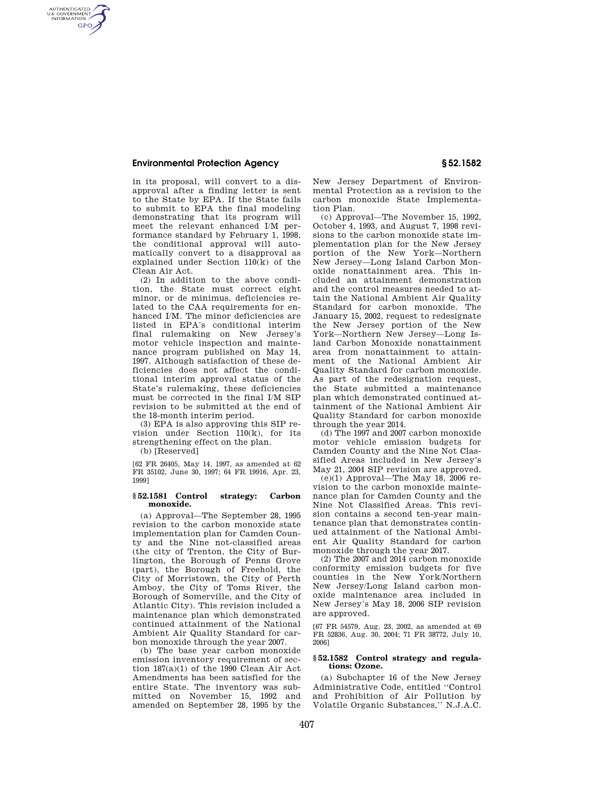# **Environmental Protection Agency § 52.1582**

AUTHENTICATED<br>U.S. GOVERNMENT<br>INFORMATION **GPO** 

> in its proposal, will convert to a disapproval after a finding letter is sent to the State by EPA. If the State fails to submit to EPA the final modeling demonstrating that its program will meet the relevant enhanced I/M performance standard by February 1, 1998, the conditional approval will automatically convert to a disapproval as explained under Section 110(k) of the Clean Air Act.

> (2) In addition to the above condition, the State must correct eight minor, or de minimus, deficiencies related to the CAA requirements for enhanced I/M. The minor deficiencies are listed in EPA's conditional interim final rulemaking on New Jersey's motor vehicle inspection and maintenance program published on May 14, 1997. Although satisfaction of these deficiencies does not affect the conditional interim approval status of the State's rulemaking, these deficiencies must be corrected in the final I/M SIP revision to be submitted at the end of the 18-month interim period.

(3) EPA is also approving this SIP revision under Section 110(k), for its strengthening effect on the plan.

(b) [Reserved]

[62 FR 26405, May 14, 1997, as amended at 62 FR 35102, June 30, 1997; 64 FR 19916, Apr. 23, 1999]

### **§ 52.1581 Control strategy: Carbon monoxide.**

(a) Approval—The September 28, 1995 revision to the carbon monoxide state implementation plan for Camden County and the Nine not-classified areas (the city of Trenton, the City of Burlington, the Borough of Penns Grove (part), the Borough of Freehold, the City of Morristown, the City of Perth Amboy, the City of Toms River, the Borough of Somerville, and the City of Atlantic City). This revision included a maintenance plan which demonstrated continued attainment of the National Ambient Air Quality Standard for carbon monoxide through the year 2007.

(b) The base year carbon monoxide emission inventory requirement of section 187(a)(1) of the 1990 Clean Air Act Amendments has been satisfied for the entire State. The inventory was submitted on November 15, 1992 and amended on September 28, 1995 by the New Jersey Department of Environmental Protection as a revision to the carbon monoxide State Implementation Plan.

(c) Approval—The November 15, 1992, October 4, 1993, and August 7, 1998 revisions to the carbon monoxide state implementation plan for the New Jersey portion of the New York—Northern New Jersey—Long Island Carbon Monoxide nonattainment area. This included an attainment demonstration and the control measures needed to attain the National Ambient Air Quality Standard for carbon monoxide. The January 15, 2002, request to redesignate the New Jersey portion of the New York—Northern New Jersey—Long Island Carbon Monoxide nonattainment area from nonattainment to attainment of the National Ambient Air Quality Standard for carbon monoxide. As part of the redesignation request, the State submitted a maintenance plan which demonstrated continued attainment of the National Ambient Air Quality Standard for carbon monoxide through the year 2014.

(d) The 1997 and 2007 carbon monoxide motor vehicle emission budgets for Camden County and the Nine Not Classified Areas included in New Jersey's May 21, 2004 SIP revision are approved.

 $(e)(1)$  Approval—The May 18, 2006 revision to the carbon monoxide maintenance plan for Camden County and the Nine Not Classified Areas. This revision contains a second ten-year maintenance plan that demonstrates continued attainment of the National Ambient Air Quality Standard for carbon monoxide through the year 2017.

(2) The 2007 and 2014 carbon monoxide conformity emission budgets for five counties in the New York/Northern New Jersey/Long Island carbon monoxide maintenance area included in New Jersey's May 18, 2006 SIP revision are approved.

[67 FR 54579, Aug. 23, 2002, as amended at 69 FR 52836, Aug. 30, 2004; 71 FR 38772, July 10, 2006]

#### **§ 52.1582 Control strategy and regulations: Ozone.**

(a) Subchapter 16 of the New Jersey Administrative Code, entitled ''Control and Prohibition of Air Pollution by Volatile Organic Substances,'' N.J.A.C.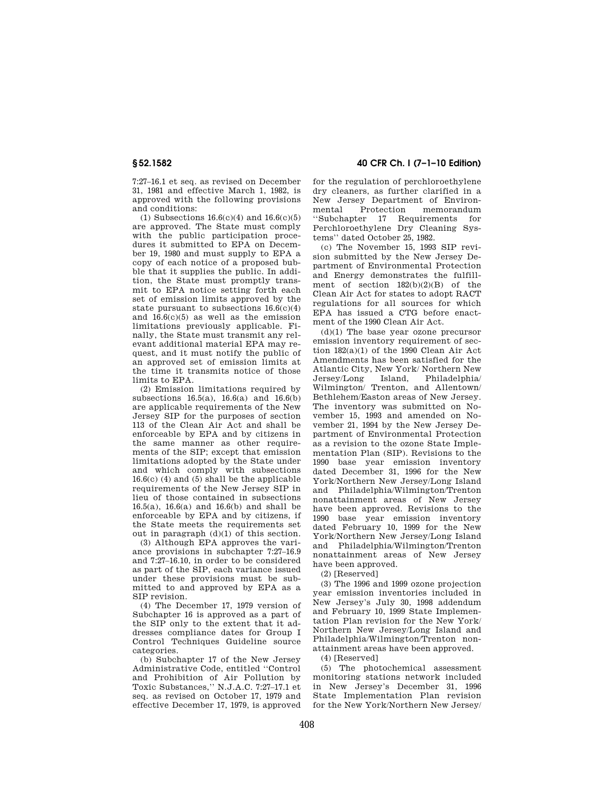7:27–16.1 et seq. as revised on December 31, 1981 and effective March 1, 1982, is approved with the following provisions and conditions:

(1) Subsections  $16.6(c)(4)$  and  $16.6(c)(5)$ are approved. The State must comply with the public participation procedures it submitted to EPA on December 19, 1980 and must supply to EPA a copy of each notice of a proposed bubble that it supplies the public. In addition, the State must promptly transmit to EPA notice setting forth each set of emission limits approved by the state pursuant to subsections  $16.6(c)(4)$ and 16.6(c)(5) as well as the emission limitations previously applicable. Finally, the State must transmit any relevant additional material EPA may request, and it must notify the public of an approved set of emission limits at the time it transmits notice of those limits to EPA.

(2) Emission limitations required by subsections  $16.5(a)$ ,  $16.6(a)$  and  $16.6(b)$ are applicable requirements of the New Jersey SIP for the purposes of section 113 of the Clean Air Act and shall be enforceable by EPA and by citizens in the same manner as other requirements of the SIP; except that emission limitations adopted by the State under and which comply with subsections  $16.6(c)$  (4) and (5) shall be the applicable requirements of the New Jersey SIP in lieu of those contained in subsections 16.5(a), 16.6(a) and 16.6(b) and shall be enforceable by EPA and by citizens, if the State meets the requirements set out in paragraph (d)(1) of this section.

(3) Although EPA approves the variance provisions in subchapter 7:27–16.9 and 7:27–16.10, in order to be considered as part of the SIP, each variance issued under these provisions must be submitted to and approved by EPA as a SIP revision.

(4) The December 17, 1979 version of Subchapter 16 is approved as a part of the SIP only to the extent that it addresses compliance dates for Group I Control Techniques Guideline source categories.

(b) Subchapter 17 of the New Jersey Administrative Code, entitled ''Control and Prohibition of Air Pollution by Toxic Substances,'' N.J.A.C. 7:27–17.1 et seq. as revised on October 17, 1979 and effective December 17, 1979, is approved

**§ 52.1582 40 CFR Ch. I (7–1–10 Edition)** 

for the regulation of perchloroethylene dry cleaners, as further clarified in a New Jersey Department of Environmental Protection memorandum ''Subchapter 17 Requirements for Perchloroethylene Dry Cleaning Systems'' dated October 25, 1982.

(c) The November 15, 1993 SIP revision submitted by the New Jersey Department of Environmental Protection and Energy demonstrates the fulfillment of section 182(b)(2)(B) of the Clean Air Act for states to adopt RACT regulations for all sources for which EPA has issued a CTG before enactment of the 1990 Clean Air Act.

(d)(1) The base year ozone precursor emission inventory requirement of section 182(a)(1) of the 1990 Clean Air Act Amendments has been satisfied for the Atlantic City, New York/ Northern New Jersey/Long Island, Philadelphia/ Wilmington/ Trenton, and Allentown/ Bethlehem/Easton areas of New Jersey. The inventory was submitted on November 15, 1993 and amended on November 21, 1994 by the New Jersey Department of Environmental Protection as a revision to the ozone State Implementation Plan (SIP). Revisions to the 1990 base year emission inventory dated December 31, 1996 for the New York/Northern New Jersey/Long Island and Philadelphia/Wilmington/Trenton nonattainment areas of New Jersey have been approved. Revisions to the 1990 base year emission inventory dated February 10, 1999 for the New York/Northern New Jersey/Long Island and Philadelphia/Wilmington/Trenton nonattainment areas of New Jersey have been approved.

(2) [Reserved]

(3) The 1996 and 1999 ozone projection year emission inventories included in New Jersey's July 30, 1998 addendum and February 10, 1999 State Implementation Plan revision for the New York/ Northern New Jersey/Long Island and Philadelphia/Wilmington/Trenton nonattainment areas have been approved.

(4) [Reserved]

(5) The photochemical assessment monitoring stations network included in New Jersey's December 31, 1996 State Implementation Plan revision for the New York/Northern New Jersey/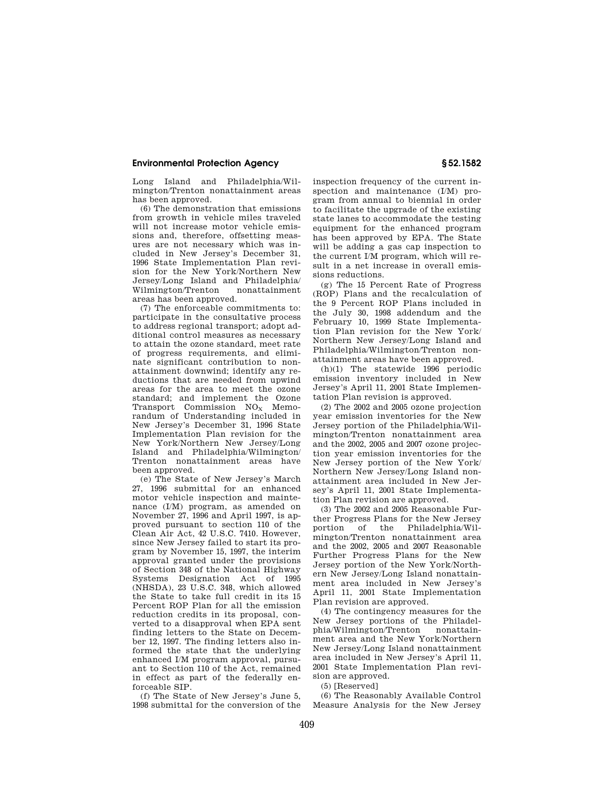# **Environmental Protection Agency § 52.1582**

Long Island and Philadelphia/Wilmington/Trenton nonattainment areas has been approved.

(6) The demonstration that emissions from growth in vehicle miles traveled will not increase motor vehicle emissions and, therefore, offsetting measures are not necessary which was included in New Jersey's December 31, 1996 State Implementation Plan revision for the New York/Northern New Jersey/Long Island and Philadelphia/ Wilmington/Trenton nonattainment areas has been approved.

(7) The enforceable commitments to: participate in the consultative process to address regional transport; adopt additional control measures as necessary to attain the ozone standard, meet rate of progress requirements, and eliminate significant contribution to nonattainment downwind; identify any reductions that are needed from upwind areas for the area to meet the ozone standard; and implement the Ozone Transport Commission  $NO<sub>x</sub>$  Memorandum of Understanding included in New Jersey's December 31, 1996 State Implementation Plan revision for the New York/Northern New Jersey/Long Island and Philadelphia/Wilmington/ Trenton nonattainment areas have been approved.

(e) The State of New Jersey's March 27, 1996 submittal for an enhanced motor vehicle inspection and maintenance (I/M) program, as amended on November 27, 1996 and April 1997, is approved pursuant to section 110 of the Clean Air Act, 42 U.S.C. 7410. However, since New Jersey failed to start its program by November 15, 1997, the interim approval granted under the provisions of Section 348 of the National Highway Systems Designation Act of 1995 (NHSDA), 23 U.S.C. 348, which allowed the State to take full credit in its 15 Percent ROP Plan for all the emission reduction credits in its proposal, converted to a disapproval when EPA sent finding letters to the State on December 12, 1997. The finding letters also informed the state that the underlying enhanced I/M program approval, pursuant to Section 110 of the Act, remained in effect as part of the federally enforceable SIP.

(f) The State of New Jersey's June 5, 1998 submittal for the conversion of the inspection frequency of the current inspection and maintenance (I/M) program from annual to biennial in order to facilitate the upgrade of the existing state lanes to accommodate the testing equipment for the enhanced program has been approved by EPA. The State will be adding a gas cap inspection to the current I/M program, which will result in a net increase in overall emissions reductions.

(g) The 15 Percent Rate of Progress (ROP) Plans and the recalculation of the 9 Percent ROP Plans included in the July 30, 1998 addendum and the February 10, 1999 State Implementation Plan revision for the New York/ Northern New Jersey/Long Island and Philadelphia/Wilmington/Trenton nonattainment areas have been approved.

(h)(1) The statewide 1996 periodic emission inventory included in New Jersey's April 11, 2001 State Implementation Plan revision is approved.

(2) The 2002 and 2005 ozone projection year emission inventories for the New Jersey portion of the Philadelphia/Wilmington/Trenton nonattainment area and the 2002, 2005 and 2007 ozone projection year emission inventories for the New Jersey portion of the New York/ Northern New Jersey/Long Island nonattainment area included in New Jersey's April 11, 2001 State Implementation Plan revision are approved.

(3) The 2002 and 2005 Reasonable Further Progress Plans for the New Jersey portion of the Philadelphia/Wilmington/Trenton nonattainment area and the 2002, 2005 and 2007 Reasonable Further Progress Plans for the New Jersey portion of the New York/Northern New Jersey/Long Island nonattainment area included in New Jersey's April 11, 2001 State Implementation Plan revision are approved.

(4) The contingency measures for the New Jersey portions of the Philadelphia/Wilmington/Trenton nonattainment area and the New York/Northern New Jersey/Long Island nonattainment area included in New Jersey's April 11, 2001 State Implementation Plan revision are approved.

(5) [Reserved]

(6) The Reasonably Available Control Measure Analysis for the New Jersey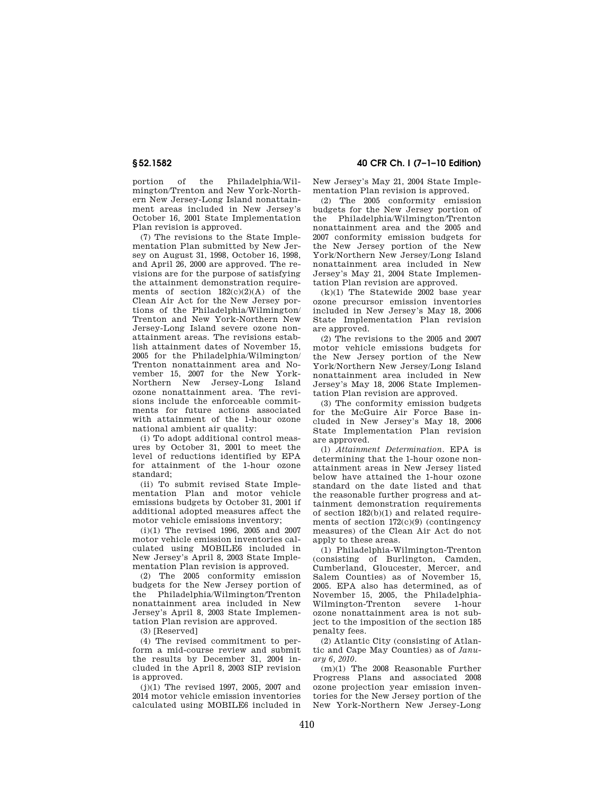portion of the Philadelphia/Wilmington/Trenton and New York-Northern New Jersey-Long Island nonattainment areas included in New Jersey's October 16, 2001 State Implementation Plan revision is approved.

(7) The revisions to the State Implementation Plan submitted by New Jersey on August 31, 1998, October 16, 1998, and April 26, 2000 are approved. The revisions are for the purpose of satisfying the attainment demonstration requirements of section  $182(c)(2)(A)$  of the Clean Air Act for the New Jersey portions of the Philadelphia/Wilmington/ Trenton and New York-Northern New Jersey-Long Island severe ozone nonattainment areas. The revisions establish attainment dates of November 15, 2005 for the Philadelphia/Wilmington/ Trenton nonattainment area and November 15, 2007 for the New York-Northern New Jersey-Long Island ozone nonattainment area. The revisions include the enforceable commitments for future actions associated with attainment of the 1-hour ozone national ambient air quality:

(i) To adopt additional control measures by October 31, 2001 to meet the level of reductions identified by EPA for attainment of the 1-hour ozone standard;

(ii) To submit revised State Implementation Plan and motor vehicle emissions budgets by October 31, 2001 if additional adopted measures affect the motor vehicle emissions inventory;

(i)(1) The revised 1996, 2005 and 2007 motor vehicle emission inventories calculated using MOBILE6 included in New Jersey's April 8, 2003 State Implementation Plan revision is approved.

(2) The 2005 conformity emission budgets for the New Jersey portion of the Philadelphia/Wilmington/Trenton nonattainment area included in New Jersey's April 8, 2003 State Implementation Plan revision are approved.

(3) [Reserved]

(4) The revised commitment to perform a mid-course review and submit the results by December 31, 2004 included in the April 8, 2003 SIP revision is approved.

(j)(1) The revised 1997, 2005, 2007 and 2014 motor vehicle emission inventories calculated using MOBILE6 included in

**§ 52.1582 40 CFR Ch. I (7–1–10 Edition)** 

New Jersey's May 21, 2004 State Implementation Plan revision is approved.

(2) The 2005 conformity emission budgets for the New Jersey portion of the Philadelphia/Wilmington/Trenton nonattainment area and the 2005 and 2007 conformity emission budgets for the New Jersey portion of the New York/Northern New Jersey/Long Island nonattainment area included in New Jersey's May 21, 2004 State Implementation Plan revision are approved.

(k)(1) The Statewide 2002 base year ozone precursor emission inventories included in New Jersey's May 18, 2006 State Implementation Plan revision are approved.

(2) The revisions to the 2005 and 2007 motor vehicle emissions budgets for the New Jersey portion of the New York/Northern New Jersey/Long Island nonattainment area included in New Jersey's May 18, 2006 State Implementation Plan revision are approved.

(3) The conformity emission budgets for the McGuire Air Force Base included in New Jersey's May 18, 2006 State Implementation Plan revision are approved.

(l) *Attainment Determination.* EPA is determining that the 1-hour ozone nonattainment areas in New Jersey listed below have attained the 1-hour ozone standard on the date listed and that the reasonable further progress and attainment demonstration requirements of section 182(b)(1) and related requirements of section 172(c)(9) (contingency measures) of the Clean Air Act do not apply to these areas.

(1) Philadelphia-Wilmington-Trenton (consisting of Burlington, Camden, Cumberland, Gloucester, Mercer, and Salem Counties) as of November 15, 2005. EPA also has determined, as of November 15, 2005, the Philadelphia-Wilmington-Trenton severe 1-hour ozone nonattainment area is not subject to the imposition of the section 185 penalty fees.

(2) Atlantic City (consisting of Atlantic and Cape May Counties) as of *January 6, 2010*.

(m)(1) The 2008 Reasonable Further Progress Plans and associated 2008 ozone projection year emission inventories for the New Jersey portion of the New York-Northern New Jersey-Long